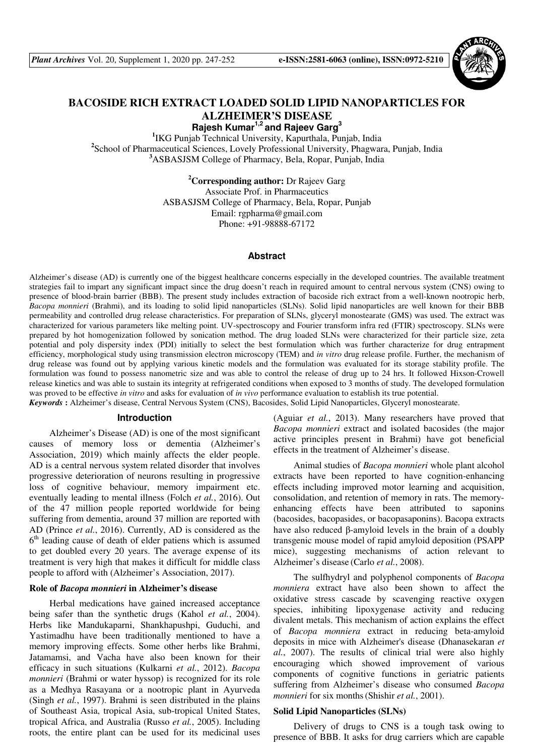

# **BACOSIDE RICH EXTRACT LOADED SOLID LIPID NANOPARTICLES FOR ALZHEIMER'S DISEASE**

**Rajesh Kumar1,2 and Rajeev Garg<sup>3</sup>**

**1** IKG Punjab Technical University, Kapurthala, Punjab, India **2** School of Pharmaceutical Sciences, Lovely Professional University, Phagwara, Punjab, India **<sup>3</sup>**ASBASJSM College of Pharmacy, Bela, Ropar, Punjab, India

> **<sup>2</sup>Corresponding author:** Dr Rajeev Garg Associate Prof. in Pharmaceutics ASBASJSM College of Pharmacy, Bela, Ropar, Punjab Email: rgpharma@gmail.com Phone: +91-98888-67172

#### **Abstract**

Alzheimer's disease (AD) is currently one of the biggest healthcare concerns especially in the developed countries. The available treatment strategies fail to impart any significant impact since the drug doesn't reach in required amount to central nervous system (CNS) owing to presence of blood-brain barrier (BBB). The present study includes extraction of bacoside rich extract from a well-known nootropic herb, *Bacopa monnieri* (Brahmi), and its loading to solid lipid nanoparticles (SLNs). Solid lipid nanoparticles are well known for their BBB permeability and controlled drug release characteristics. For preparation of SLNs, glyceryl monostearate (GMS) was used. The extract was characterized for various parameters like melting point. UV-spectroscopy and Fourier transform infra red (FTIR) spectroscopy. SLNs were prepared by hot homogenization followed by sonication method. The drug loaded SLNs were characterized for their particle size, zeta potential and poly dispersity index (PDI) initially to select the best formulation which was further characterize for drug entrapment efficiency, morphological study using transmission electron microscopy (TEM) and *in vitro* drug release profile. Further, the mechanism of drug release was found out by applying various kinetic models and the formulation was evaluated for its storage stability profile. The formulation was found to possess nanometric size and was able to control the release of drug up to 24 hrs. It followed Hixson-Crowell release kinetics and was able to sustain its integrity at refrigerated conditions when exposed to 3 months of study. The developed formulation was proved to be effective *in vitro* and asks for evaluation of *in vivo* performance evaluation to establish its true potential. *Keywords* **:** Alzheimer's disease, Central Nervous System (CNS), Bacosides, Solid Lipid Nanoparticles, Glyceryl monostearate.

### **Introduction**

Alzheimer's Disease (AD) is one of the most significant causes of memory loss or dementia (Alzheimer's Association, 2019) which mainly affects the elder people. AD is a central nervous system related disorder that involves progressive deterioration of neurons resulting in progressive loss of cognitive behaviour, memory impairment etc. eventually leading to mental illness (Folch *et al.*, 2016). Out of the 47 million people reported worldwide for being suffering from dementia, around 37 million are reported with AD (Prince *et al.*, 2016). Currently, AD is considered as the 6<sup>th</sup> leading cause of death of elder patiens which is assumed to get doubled every 20 years. The average expense of its treatment is very high that makes it difficult for middle class people to afford with (Alzheimer's Association, 2017).

#### **Role of** *Bacopa monnieri* **in Alzheimer's disease**

Herbal medications have gained increased acceptance being safer than the synthetic drugs (Kahol *et al.*, 2004). Herbs like Mandukaparni, Shankhapushpi, Guduchi, and Yastimadhu have been traditionally mentioned to have a memory improving effects. Some other herbs like Brahmi, Jatamamsi, and Vacha have also been known for their efficacy in such situations (Kulkarni *et al.*, 2012). *Bacopa monnieri* (Brahmi or water hyssop) is recognized for its role as a Medhya Rasayana or a nootropic plant in Ayurveda (Singh *et al.*, 1997). Brahmi is seen distributed in the plains of Southeast Asia, tropical Asia, sub-tropical United States, tropical Africa, and Australia (Russo *et al.*, 2005). Including roots, the entire plant can be used for its medicinal uses

(Aguiar *et al.*, 2013). Many researchers have proved that *Bacopa monnieri* extract and isolated bacosides (the major active principles present in Brahmi) have got beneficial effects in the treatment of Alzheimer's disease.

Animal studies of *Bacopa monnieri* whole plant alcohol extracts have been reported to have cognition-enhancing effects including improved motor learning and acquisition, consolidation, and retention of memory in rats. The memoryenhancing effects have been attributed to saponins (bacosides, bacopasides, or bacopasaponins). Bacopa extracts have also reduced β-amyloid levels in the brain of a doubly transgenic mouse model of rapid amyloid deposition (PSAPP mice), suggesting mechanisms of action relevant to Alzheimer's disease (Carlo *et al.*, 2008).

The sulfhydryl and polyphenol components of *Bacopa monniera* extract have also been shown to affect the oxidative stress cascade by scavenging reactive oxygen species, inhibiting lipoxygenase activity and reducing divalent metals. This mechanism of action explains the effect of *Bacopa monniera* extract in reducing beta-amyloid deposits in mice with Alzheimer's disease (Dhanasekaran *et al.*, 2007). The results of clinical trial were also highly encouraging which showed improvement of various components of cognitive functions in geriatric patients suffering from Alzheimer's disease who consumed *Bacopa monnieri* for six months(Shishir *et al.*, 2001).

### **Solid Lipid Nanoparticles (SLNs)**

Delivery of drugs to CNS is a tough task owing to presence of BBB. It asks for drug carriers which are capable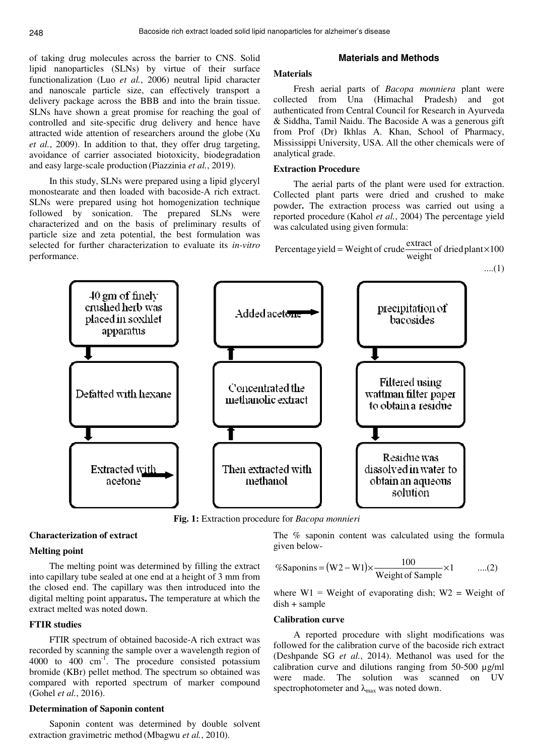of taking drug molecules across the barrier to CNS. Solid lipid nanoparticles (SLNs) by virtue of their surface functionalization (Luo *et al.*, 2006) neutral lipid character and nanoscale particle size, can effectively transport a delivery package across the BBB and into the brain tissue. SLNs have shown a great promise for reaching the goal of controlled and site-specific drug delivery and hence have attracted wide attention of researchers around the globe (Xu *et al.*, 2009). In addition to that, they offer drug targeting, avoidance of carrier associated biotoxicity, biodegradation and easy large-scale production (Piazzinia *et al.*, 2019).

In this study, SLNs were prepared using a lipid glyceryl monostearate and then loaded with bacoside-A rich extract. SLNs were prepared using hot homogenization technique followed by sonication. The prepared SLNs were characterized and on the basis of preliminary results of particle size and zeta potential, the best formulation was selected for further characterization to evaluate its *in-vitro* performance.

### **Materials and Methods**

### **Materials**

Fresh aerial parts of *Bacopa monniera* plant were collected from Una (Himachal Pradesh) and got authenticated from Central Council for Research in Ayurveda & Siddha, Tamil Naidu. The Bacoside A was a generous gift from Prof (Dr) Ikhlas A. Khan, School of Pharmacy, Mississippi University, USA. All the other chemicals were of analytical grade.

### **Extraction Procedure**

The aerial parts of the plant were used for extraction. Collected plant parts were dried and crushed to make powder**.** The extraction process was carried out using a reported procedure (Kahol *et al.*, 2004) The percentage yield was calculated using given formula:

Percentage yield = Weight of crude 
$$
\frac{\text{extract}}{\text{weight}}
$$
 of dried plant ×100

....(1)



**Fig. 1:** Extraction procedure for *Bacopa monnieri*

# **Characterization of extract**

## **Melting point**

The melting point was determined by filling the extract into capillary tube sealed at one end at a height of 3 mm from the closed end. The capillary was then introduced into the digital melting point apparatus**.** The temperature at which the extract melted was noted down.

### **FTIR studies**

FTIR spectrum of obtained bacoside-A rich extract was recorded by scanning the sample over a wavelength region of 4000 to 400 cm-1. The procedure consisted potassium bromide (KBr) pellet method. The spectrum so obtained was compared with reported spectrum of marker compound (Gohel *et al.*, 2016).

### **Determination of Saponin content**

Saponin content was determined by double solvent extraction gravimetric method (Mbagwu *et al.*, 2010).

The % saponin content was calculated using the formula given below-

$$
\% \text{Saponins} = (W2 - W1) \times \frac{100}{\text{Weight of Sample}} \times 1 \qquad \dots (2)
$$

where  $W1$  = Weight of evaporating dish;  $W2$  = Weight of dish + sample

#### **Calibration curve**

A reported procedure with slight modifications was followed for the calibration curve of the bacoside rich extract (Deshpande SG *et al.*, 2014). Methanol was used for the calibration curve and dilutions ranging from 50-500 µg/ml were made. The solution was scanned on UV spectrophotometer and  $\lambda_{\text{max}}$  was noted down.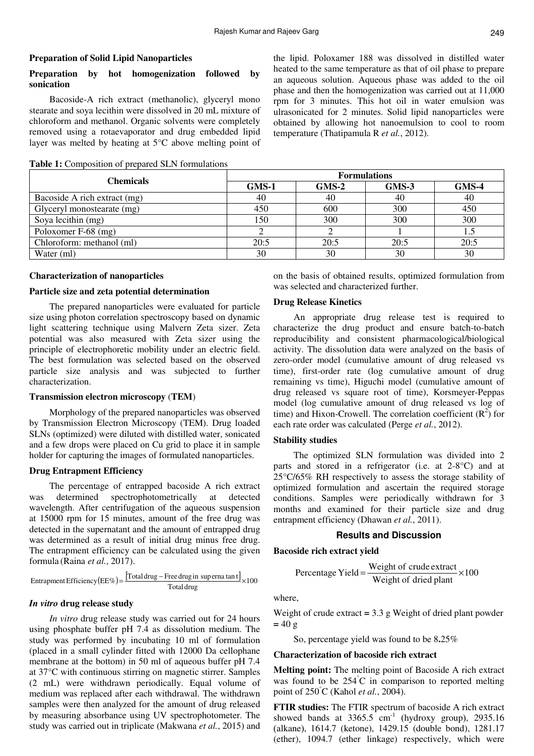### **Preparation of Solid Lipid Nanoparticles**

# **Preparation by hot homogenization followed by sonication**

Bacoside-A rich extract (methanolic), glyceryl mono stearate and soya lecithin were dissolved in 20 mL mixture of chloroform and methanol. Organic solvents were completely removed using a rotaevaporator and drug embedded lipid layer was melted by heating at 5°C above melting point of

**Table 1:** Composition of prepared SLN formulations

the lipid. Poloxamer 188 was dissolved in distilled water heated to the same temperature as that of oil phase to prepare an aqueous solution. Aqueous phase was added to the oil phase and then the homogenization was carried out at 11,000 rpm for 3 minutes. This hot oil in water emulsion was ulrasonicated for 2 minutes. Solid lipid nanoparticles were obtained by allowing hot nanoemulsion to cool to room temperature (Thatipamula R *et al.*, 2012).

| Chemicals                    | <b>Formulations</b> |         |         |         |  |  |  |
|------------------------------|---------------------|---------|---------|---------|--|--|--|
|                              | $GMS-1$             | $GMS-2$ | $GMS-3$ | $GMS-4$ |  |  |  |
| Bacoside A rich extract (mg) | 40                  | 40      | 40      | 40      |  |  |  |
| Glyceryl monostearate (mg)   | 450                 | 600     | 300     | 450     |  |  |  |
| Soya lecithin (mg)           | 150                 | 300     | 300     | 300     |  |  |  |
| Poloxomer F-68 (mg)          |                     |         |         |         |  |  |  |
| Chloroform: methanol (ml)    | 20:5                | 20:5    | 20:5    | 20:5    |  |  |  |
| Water (ml)                   | 30                  | 30      | 30      | 30      |  |  |  |

#### **Characterization of nanoparticles**

### **Particle size and zeta potential determination**

The prepared nanoparticles were evaluated for particle size using photon correlation spectroscopy based on dynamic light scattering technique using Malvern Zeta sizer. Zeta potential was also measured with Zeta sizer using the principle of electrophoretic mobility under an electric field. The best formulation was selected based on the observed particle size analysis and was subjected to further characterization.

### **Transmission electron microscopy** (**TEM**)

Morphology of the prepared nanoparticles was observed by Transmission Electron Microscopy (TEM). Drug loaded SLNs (optimized) were diluted with distilled water, sonicated and a few drops were placed on Cu grid to place it in sample holder for capturing the images of formulated nanoparticles.

#### **Drug Entrapment Efficiency**

The percentage of entrapped bacoside A rich extract was determined spectrophotometrically at detected wavelength. After centrifugation of the aqueous suspension at 15000 rpm for 15 minutes, amount of the free drug was detected in the supernatant and the amount of entrapped drug was determined as a result of initial drug minus free drug. The entrapment efficiency can be calculated using the given formula (Raina *et al.*, 2017).

$$
Entropy Entrapment Efficiency (EE\%) = \frac{[Total drug - Free drug in superna tan t]}{Total drug} \times 100
$$

### *In vitro* **drug release study**

*In vitro* drug release study was carried out for 24 hours using phosphate buffer pH 7.4 as dissolution medium. The study was performed by incubating 10 ml of formulation (placed in a small cylinder fitted with 12000 Da cellophane membrane at the bottom) in 50 ml of aqueous buffer pH 7.4 at 37°C with continuous stirring on magnetic stirrer. Samples (2 mL) were withdrawn periodically. Equal volume of medium was replaced after each withdrawal. The withdrawn samples were then analyzed for the amount of drug released by measuring absorbance using UV spectrophotometer. The study was carried out in triplicate (Makwana *et al.*, 2015) and on the basis of obtained results, optimized formulation from was selected and characterized further.

### **Drug Release Kinetics**

An appropriate drug release test is required to characterize the drug product and ensure batch-to-batch reproducibility and consistent pharmacological/biological activity. The dissolution data were analyzed on the basis of zero-order model (cumulative amount of drug released vs time), first-order rate (log cumulative amount of drug remaining vs time), Higuchi model (cumulative amount of drug released vs square root of time), Korsmeyer-Peppas model (log cumulative amount of drug released vs log of time) and Hixon-Crowell. The correlation coefficient  $(R^2)$  for each rate order was calculated (Perge *et al.*, 2012).

#### **Stability studies**

The optimized SLN formulation was divided into 2 parts and stored in a refrigerator (i.e. at 2-8°C) and at 25°C/65% RH respectively to assess the storage stability of optimized formulation and ascertain the required storage conditions. Samples were periodically withdrawn for 3 months and examined for their particle size and drug entrapment efficiency (Dhawan *et al.*, 2011).

### **Results and Discussion**

#### **Bacoside rich extract yield**

Percentage Yield = 
$$
\frac{\text{Weight of crude extract}}{\text{Weight of dried plant}} \times 100
$$

# where,

Weight of crude extract **=** 3.3 g Weight of dried plant powder  $= 40 g$ 

So, percentage yield was found to be 8**.**25%

# **Characterization of bacoside rich extract**

**Melting point:** The melting point of Bacoside A rich extract was found to be  $254^{\circ}$ C in comparison to reported melting point of 250°C (Kahol *et al.*, 2004).

**FTIR studies:** The FTIR spectrum of bacoside A rich extract showed bands at  $3365.5$  cm<sup>-1</sup> (hydroxy group), 2935.16 (alkane), 1614.7 (ketone), 1429.15 (double bond), 1281.17 (ether), 1094.7 (ether linkage) respectively, which were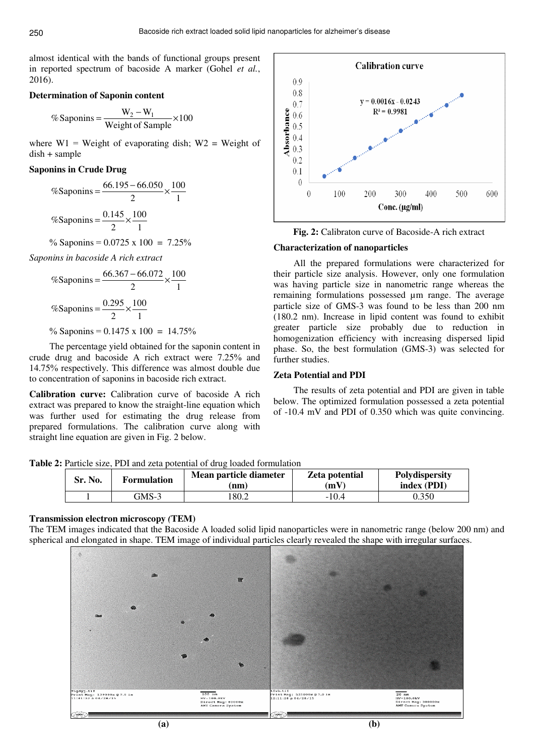almost identical with the bands of functional groups present in reported spectrum of bacoside A marker (Gohel *et al.*, 2016).

### **Determination of Saponin content**

$$
\% \text{Saponins} = \frac{W_2 - W_1}{\text{Weight of Sample}} \times 100
$$

where  $W1$  = Weight of evaporating dish;  $W2$  = Weight of dish + sample

# **Saponins in Crude Drug**

%Saponins = 
$$
\frac{66.195 - 66.050}{2} \times \frac{100}{1}
$$

$$
\%Saponins = \frac{0.145}{2} \times \frac{100}{1}
$$

$$
\% \text{ Saponins} = 0.0725 \times 100 = 7.25\%
$$

*Saponins in bacoside A rich extract*

%Saponins = 
$$
\frac{66.367 - 66.072}{2} \times \frac{100}{1}
$$

$$
\%Saponins = \frac{0.295}{2} \times \frac{100}{1}
$$

% Saponins =  $0.1475 \times 100 = 14.75\%$ 

The percentage yield obtained for the saponin content in crude drug and bacoside A rich extract were 7.25% and 14.75% respectively. This difference was almost double due to concentration of saponins in bacoside rich extract.

**Calibration curve:** Calibration curve of bacoside A rich extract was prepared to know the straight-line equation which was further used for estimating the drug release from prepared formulations. The calibration curve along with straight line equation are given in Fig. 2 below.



**Fig. 2:** Calibraton curve of Bacoside-A rich extract

### **Characterization of nanoparticles**

All the prepared formulations were characterized for their particle size analysis. However, only one formulation was having particle size in nanometric range whereas the remaining formulations possessed µm range. The average particle size of GMS-3 was found to be less than 200 nm (180.2 nm). Increase in lipid content was found to exhibit greater particle size probably due to reduction in homogenization efficiency with increasing dispersed lipid phase. So, the best formulation (GMS-3) was selected for further studies.

#### **Zeta Potential and PDI**

The results of zeta potential and PDI are given in table below. The optimized formulation possessed a zeta potential of -10.4 mV and PDI of 0.350 which was quite convincing.

**Table 2:** Particle size, PDI and zeta potential of drug loaded formulation

| Sr. No. | <b>Formulation</b> | Mean particle diameter<br>(nm) | Zeta potential<br>(mV) | Polydispersity<br>index (PDI) |  |  |
|---------|--------------------|--------------------------------|------------------------|-------------------------------|--|--|
|         | GMS-3              | 180.2                          | $-10.4$                | 0.350                         |  |  |

#### **Transmission electron microscopy** *(***TEM)**

The TEM images indicated that the Bacoside A loaded solid lipid nanoparticles were in nanometric range (below 200 nm) and spherical and elongated in shape. TEM image of individual particles clearly revealed the shape with irregular surfaces.

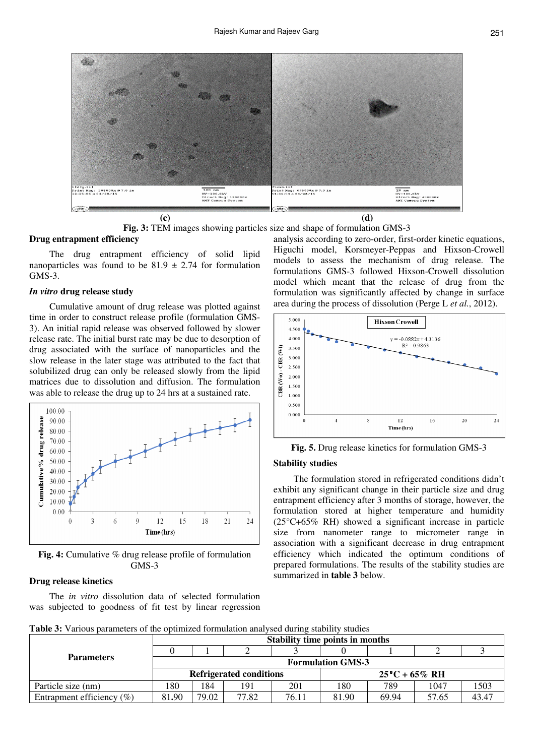



#### **Drug entrapment efficiency**

The drug entrapment efficiency of solid lipid nanoparticles was found to be  $81.9 \pm 2.74$  for formulation GMS-3.

### *In vitro* **drug release study**

Cumulative amount of drug release was plotted against time in order to construct release profile (formulation GMS-3). An initial rapid release was observed followed by slower release rate. The initial burst rate may be due to desorption of drug associated with the surface of nanoparticles and the slow release in the later stage was attributed to the fact that solubilized drug can only be released slowly from the lipid matrices due to dissolution and diffusion. The formulation was able to release the drug up to 24 hrs at a sustained rate.



**Fig. 4:** Cumulative % drug release profile of formulation GMS-3

## **Drug release kinetics**

The *in vitro* dissolution data of selected formulation was subjected to goodness of fit test by linear regression

analysis according to zero-order, first-order kinetic equations, Higuchi model, Korsmeyer-Peppas and Hixson-Crowell models to assess the mechanism of drug release. The formulations GMS-3 followed Hixson-Crowell dissolution model which meant that the release of drug from the formulation was significantly affected by change in surface area during the process of dissolution (Perge L *et al.*, 2012).



**Fig. 5.** Drug release kinetics for formulation GMS-3

#### **Stability studies**

The formulation stored in refrigerated conditions didn't exhibit any significant change in their particle size and drug entrapment efficiency after 3 months of storage, however, the formulation stored at higher temperature and humidity (25°C+65% RH) showed a significant increase in particle size from nanometer range to micrometer range in association with a significant decrease in drug entrapment efficiency which indicated the optimum conditions of prepared formulations. The results of the stability studies are summarized in **table 3** below.

|  | <b>Table 3:</b> Various parameters of the optimized formulation analysed during stability studies |  |
|--|---------------------------------------------------------------------------------------------------|--|
|  |                                                                                                   |  |

|                               | <b>Stability time points in months</b> |       |       |       |                         |       |       |       |
|-------------------------------|----------------------------------------|-------|-------|-------|-------------------------|-------|-------|-------|
|                               |                                        |       |       |       |                         |       |       |       |
| <b>Parameters</b>             | <b>Formulation GMS-3</b>               |       |       |       |                         |       |       |       |
|                               | <b>Refrigerated conditions</b>         |       |       |       | $25^{\circ}C + 65\%$ RH |       |       |       |
| Particle size (nm)            | 180                                    | 184   | 191   | 201   | 180                     | 789   | 1047  | 1503  |
| Entrapment efficiency $(\% )$ | 81.90                                  | 79.02 | 77.82 | 76.11 | 81.90                   | 69.94 | 57.65 | 43.47 |